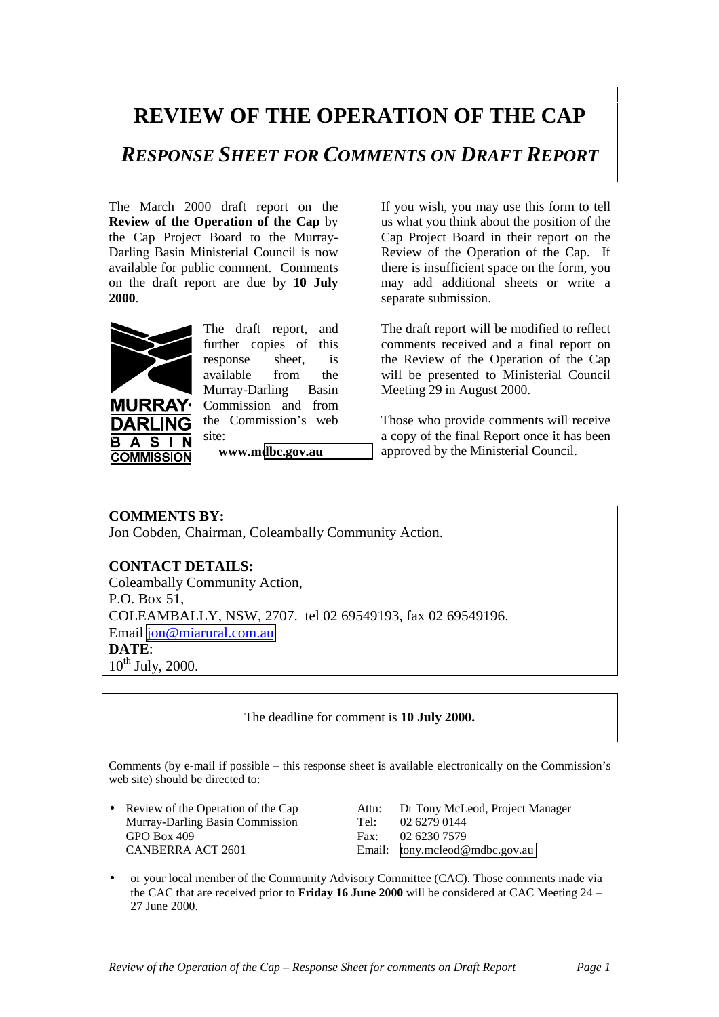## **REVIEW OF THE OPERATION OF THE CAP**

*RESPONSE SHEET FOR COMMENTS ON DRAFT REPORT*

The March 2000 draft report on the **Review of the Operation of the Cap** by the Cap Project Board to the Murray-Darling Basin Ministerial Council is now available for public comment. Comments on the draft report are due by **10 July 2000**.



**URRAY·** DARI ING  $\overline{\mathsf{s}}$  $\mathbf{A}$ В

**COMMISSION** 

The draft report, and further copies of this response sheet, is available from the Murray-Darling Basin Commission and from the Commission's web site:

**www.m[dbc.gov.au](http://www.mdbc.gov.au/)**

If you wish, you may use this form to tell us what you think about the position of the Cap Project Board in their report on the Review of the Operation of the Cap. If there is insufficient space on the form, you may add additional sheets or write a separate submission.

The draft report will be modified to reflect comments received and a final report on the Review of the Operation of the Cap will be presented to Ministerial Council Meeting 29 in August 2000.

Those who provide comments will receive a copy of the final Report once it has been approved by the Ministerial Council.

**COMMENTS BY:** Jon Cobden, Chairman, Coleambally Community Action.

## **CONTACT DETAILS:**

Coleambally Community Action, P.O. Box 51, COLEAMBALLY, NSW, 2707. tel 02 69549193, fax 02 69549196. Email [jon@miarural.com.au](mailto:jon@miarural.com.au) **DATE**:  $10^{th}$  July, 2000.

The deadline for comment is **10 July 2000.**

Comments (by e-mail if possible – this response sheet is available electronically on the Commission's web site) should be directed to:

• Review of the Operation of the Cap Attn: Dr Tony McLeod, Project Manager Murray-Darling Basin Commission Tel: 02.6279.0144 Murray-Darling Basin Commission Tel: 02 6279 0144 GPO Box 409<br>
CANBERRA ACT 2601 Fax: 02 6230 7579<br>
Email: tony.mcleod@

Email: [tony.mcleod@mdbc.gov.au](mailto:tony.mcleod@mdbc.gov.au)

• or your local member of the Community Advisory Committee (CAC). Those comments made via the CAC that are received prior to **Friday 16 June 2000** will be considered at CAC Meeting 24 – 27 June 2000.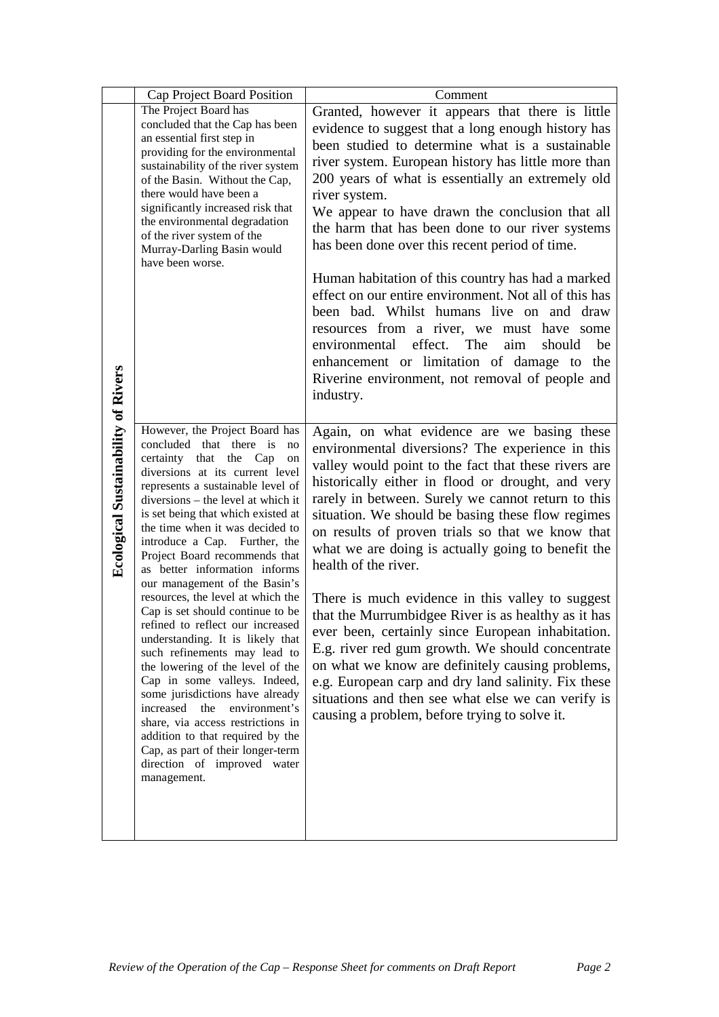|                                            | Cap Project Board Position                                                                                                                                                                                                                                                                                                                                                                                                                                                                                                                                                                                                                                                                                                                                                                                                                                                                                       | Comment                                                                                                                                                                                                                                                                                                                                                                                                                                                                                                                                                                                                                                                                                                                                                                                                                                                                                         |
|--------------------------------------------|------------------------------------------------------------------------------------------------------------------------------------------------------------------------------------------------------------------------------------------------------------------------------------------------------------------------------------------------------------------------------------------------------------------------------------------------------------------------------------------------------------------------------------------------------------------------------------------------------------------------------------------------------------------------------------------------------------------------------------------------------------------------------------------------------------------------------------------------------------------------------------------------------------------|-------------------------------------------------------------------------------------------------------------------------------------------------------------------------------------------------------------------------------------------------------------------------------------------------------------------------------------------------------------------------------------------------------------------------------------------------------------------------------------------------------------------------------------------------------------------------------------------------------------------------------------------------------------------------------------------------------------------------------------------------------------------------------------------------------------------------------------------------------------------------------------------------|
|                                            | The Project Board has<br>concluded that the Cap has been<br>an essential first step in<br>providing for the environmental<br>sustainability of the river system<br>of the Basin. Without the Cap,<br>there would have been a<br>significantly increased risk that<br>the environmental degradation<br>of the river system of the<br>Murray-Darling Basin would<br>have been worse.                                                                                                                                                                                                                                                                                                                                                                                                                                                                                                                               | Granted, however it appears that there is little<br>evidence to suggest that a long enough history has<br>been studied to determine what is a sustainable<br>river system. European history has little more than<br>200 years of what is essentially an extremely old<br>river system.<br>We appear to have drawn the conclusion that all<br>the harm that has been done to our river systems<br>has been done over this recent period of time.<br>Human habitation of this country has had a marked<br>effect on our entire environment. Not all of this has<br>been bad. Whilst humans live on and draw<br>resources from a river, we must have some<br>effect. The<br>environmental<br>aim<br>should<br>be<br>enhancement or limitation of damage to the<br>Riverine environment, not removal of people and<br>industry.                                                                     |
| <b>Ecological Sustainability of Rivers</b> | However, the Project Board has<br>concluded that there is<br>no<br>certainty that the Cap<br>on<br>diversions at its current level<br>represents a sustainable level of<br>diversions - the level at which it<br>is set being that which existed at<br>the time when it was decided to<br>introduce a Cap. Further, the<br>Project Board recommends that<br>as better information informs<br>our management of the Basin's<br>resources, the level at which the<br>Cap is set should continue to be<br>refined to reflect our increased<br>understanding. It is likely that<br>such refinements may lead to<br>the lowering of the level of the<br>Cap in some valleys. Indeed,<br>some jurisdictions have already<br>increased the<br>environment's<br>share, via access restrictions in<br>addition to that required by the<br>Cap, as part of their longer-term<br>direction of improved water<br>management. | Again, on what evidence are we basing these<br>environmental diversions? The experience in this<br>valley would point to the fact that these rivers are<br>historically either in flood or drought, and very<br>rarely in between. Surely we cannot return to this<br>situation. We should be basing these flow regimes<br>on results of proven trials so that we know that<br>what we are doing is actually going to benefit the<br>health of the river.<br>There is much evidence in this valley to suggest<br>that the Murrumbidgee River is as healthy as it has<br>ever been, certainly since European inhabitation.<br>E.g. river red gum growth. We should concentrate<br>on what we know are definitely causing problems,<br>e.g. European carp and dry land salinity. Fix these<br>situations and then see what else we can verify is<br>causing a problem, before trying to solve it. |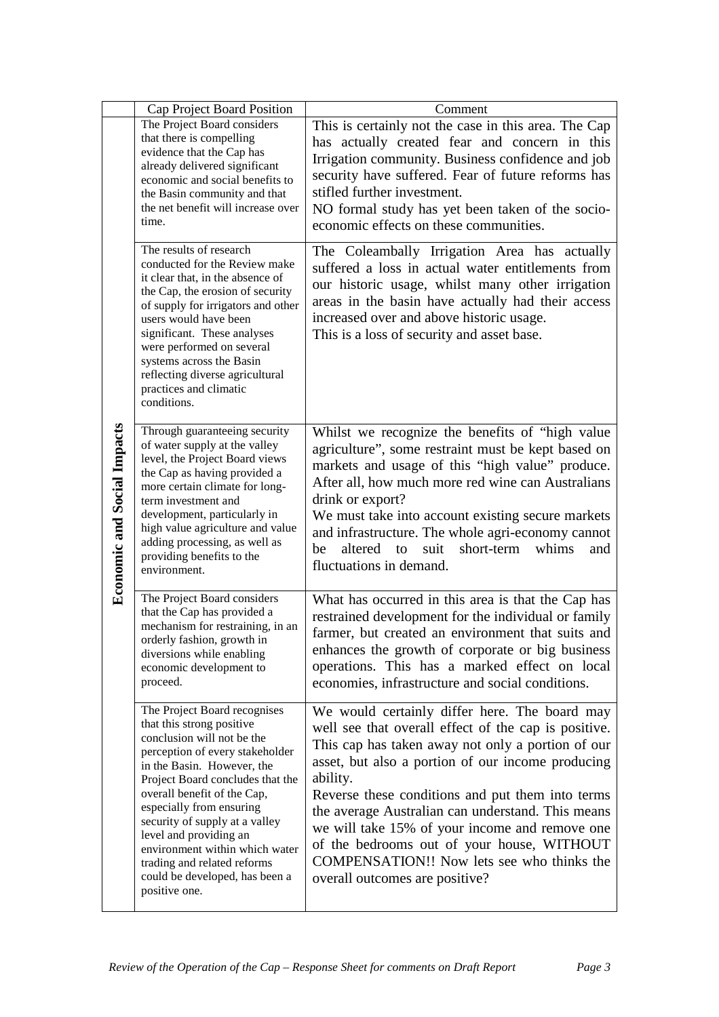|                                    | Cap Project Board Position                                                                                                                                                                                                                                                                                                                                                                                                              | Comment                                                                                                                                                                                                                                                                                                                                                                                                                                                                                                              |
|------------------------------------|-----------------------------------------------------------------------------------------------------------------------------------------------------------------------------------------------------------------------------------------------------------------------------------------------------------------------------------------------------------------------------------------------------------------------------------------|----------------------------------------------------------------------------------------------------------------------------------------------------------------------------------------------------------------------------------------------------------------------------------------------------------------------------------------------------------------------------------------------------------------------------------------------------------------------------------------------------------------------|
| <b>Economic and Social Impacts</b> | The Project Board considers<br>that there is compelling<br>evidence that the Cap has<br>already delivered significant<br>economic and social benefits to<br>the Basin community and that<br>the net benefit will increase over<br>time.                                                                                                                                                                                                 | This is certainly not the case in this area. The Cap<br>has actually created fear and concern in this<br>Irrigation community. Business confidence and job<br>security have suffered. Fear of future reforms has<br>stifled further investment.<br>NO formal study has yet been taken of the socio-<br>economic effects on these communities.                                                                                                                                                                        |
|                                    | The results of research<br>conducted for the Review make<br>it clear that, in the absence of<br>the Cap, the erosion of security<br>of supply for irrigators and other<br>users would have been<br>significant. These analyses<br>were performed on several<br>systems across the Basin<br>reflecting diverse agricultural<br>practices and climatic<br>conditions.                                                                     | The Coleambally Irrigation Area has actually<br>suffered a loss in actual water entitlements from<br>our historic usage, whilst many other irrigation<br>areas in the basin have actually had their access<br>increased over and above historic usage.<br>This is a loss of security and asset base.                                                                                                                                                                                                                 |
|                                    | Through guaranteeing security<br>of water supply at the valley<br>level, the Project Board views<br>the Cap as having provided a<br>more certain climate for long-<br>term investment and<br>development, particularly in<br>high value agriculture and value<br>adding processing, as well as<br>providing benefits to the<br>environment.                                                                                             | Whilst we recognize the benefits of "high value<br>agriculture", some restraint must be kept based on<br>markets and usage of this "high value" produce.<br>After all, how much more red wine can Australians<br>drink or export?<br>We must take into account existing secure markets<br>and infrastructure. The whole agri-economy cannot<br>whims<br>altered<br>suit<br>short-term<br>be<br>to<br>and<br>fluctuations in demand.                                                                                  |
|                                    | The Project Board considers<br>that the Cap has provided a<br>mechanism for restraining, in an<br>orderly fashion, growth in<br>diversions while enabling<br>economic development to<br>proceed.                                                                                                                                                                                                                                        | What has occurred in this area is that the Cap has<br>restrained development for the individual or family<br>farmer, but created an environment that suits and<br>enhances the growth of corporate or big business<br>operations. This has a marked effect on local<br>economies, infrastructure and social conditions.                                                                                                                                                                                              |
|                                    | The Project Board recognises<br>that this strong positive<br>conclusion will not be the<br>perception of every stakeholder<br>in the Basin. However, the<br>Project Board concludes that the<br>overall benefit of the Cap,<br>especially from ensuring<br>security of supply at a valley<br>level and providing an<br>environment within which water<br>trading and related reforms<br>could be developed, has been a<br>positive one. | We would certainly differ here. The board may<br>well see that overall effect of the cap is positive.<br>This cap has taken away not only a portion of our<br>asset, but also a portion of our income producing<br>ability.<br>Reverse these conditions and put them into terms<br>the average Australian can understand. This means<br>we will take 15% of your income and remove one<br>of the bedrooms out of your house, WITHOUT<br>COMPENSATION!! Now lets see who thinks the<br>overall outcomes are positive? |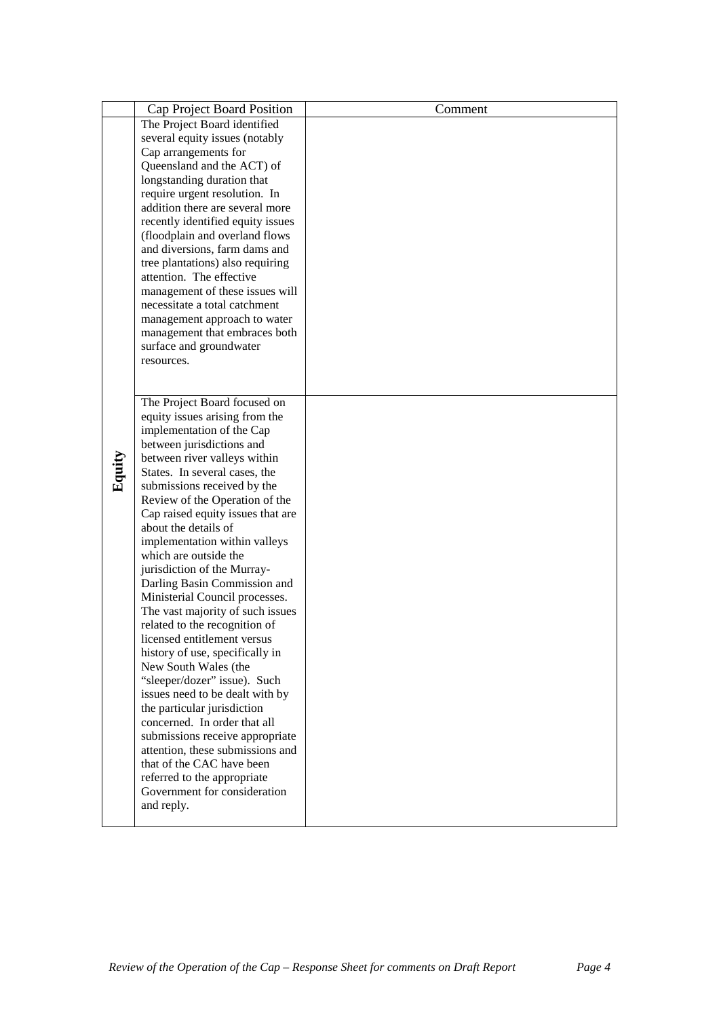|        | Cap Project Board Position                                        | Comment |
|--------|-------------------------------------------------------------------|---------|
|        | The Project Board identified                                      |         |
|        | several equity issues (notably                                    |         |
|        | Cap arrangements for                                              |         |
|        | Queensland and the ACT) of                                        |         |
|        | longstanding duration that                                        |         |
|        | require urgent resolution. In<br>addition there are several more  |         |
|        | recently identified equity issues                                 |         |
|        | (floodplain and overland flows                                    |         |
|        | and diversions, farm dams and                                     |         |
|        | tree plantations) also requiring                                  |         |
|        | attention. The effective                                          |         |
|        | management of these issues will                                   |         |
|        | necessitate a total catchment                                     |         |
|        | management approach to water                                      |         |
|        | management that embraces both                                     |         |
|        | surface and groundwater                                           |         |
|        | resources.                                                        |         |
|        |                                                                   |         |
|        | The Project Board focused on                                      |         |
|        | equity issues arising from the                                    |         |
|        | implementation of the Cap                                         |         |
|        | between jurisdictions and                                         |         |
|        | between river valleys within                                      |         |
| Equity | States. In several cases, the                                     |         |
|        | submissions received by the                                       |         |
|        | Review of the Operation of the                                    |         |
|        | Cap raised equity issues that are                                 |         |
|        | about the details of                                              |         |
|        | implementation within valleys                                     |         |
|        | which are outside the                                             |         |
|        | jurisdiction of the Murray-                                       |         |
|        | Darling Basin Commission and                                      |         |
|        | Ministerial Council processes.                                    |         |
|        | The vast majority of such issues<br>related to the recognition of |         |
|        | licensed entitlement versus                                       |         |
|        | history of use, specifically in                                   |         |
|        | New South Wales (the                                              |         |
|        | "sleeper/dozer" issue). Such                                      |         |
|        | issues need to be dealt with by                                   |         |
|        | the particular jurisdiction                                       |         |
|        | concerned. In order that all                                      |         |
|        | submissions receive appropriate                                   |         |
|        | attention, these submissions and                                  |         |
|        | that of the CAC have been                                         |         |
|        | referred to the appropriate                                       |         |
|        | Government for consideration<br>and reply.                        |         |
|        |                                                                   |         |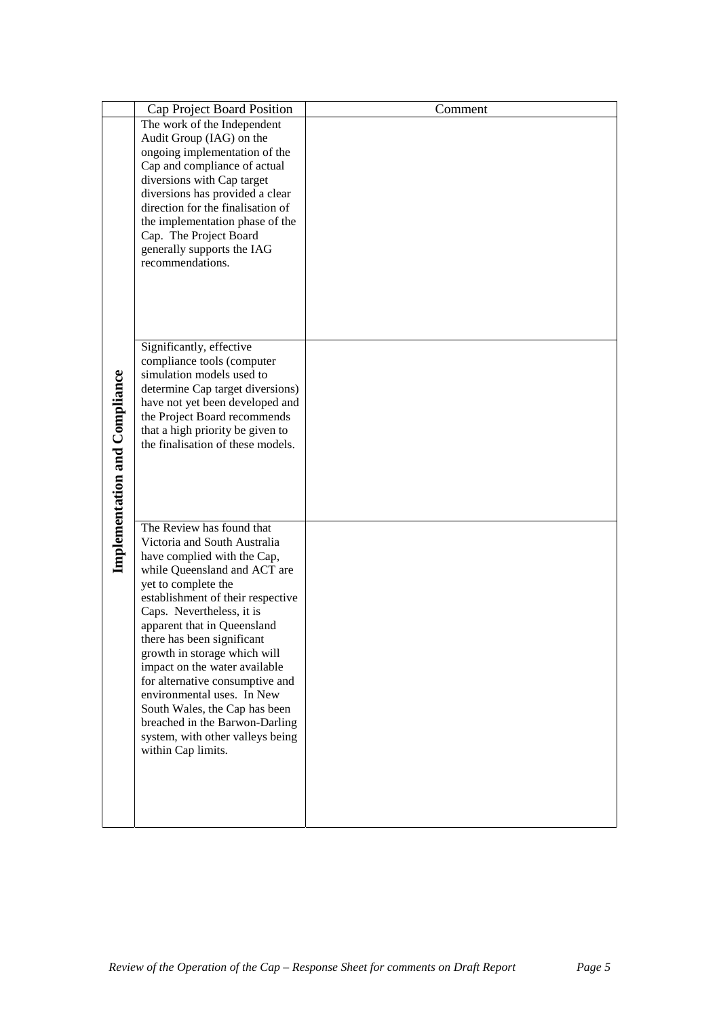|                                      | Cap Project Board Position                                           | Comment |
|--------------------------------------|----------------------------------------------------------------------|---------|
|                                      | The work of the Independent                                          |         |
|                                      | Audit Group (IAG) on the                                             |         |
|                                      | ongoing implementation of the                                        |         |
|                                      | Cap and compliance of actual                                         |         |
|                                      | diversions with Cap target                                           |         |
|                                      | diversions has provided a clear<br>direction for the finalisation of |         |
|                                      | the implementation phase of the                                      |         |
|                                      | Cap. The Project Board                                               |         |
|                                      | generally supports the IAG                                           |         |
|                                      | recommendations.                                                     |         |
|                                      |                                                                      |         |
|                                      |                                                                      |         |
|                                      |                                                                      |         |
|                                      |                                                                      |         |
|                                      | Significantly, effective                                             |         |
|                                      | compliance tools (computer                                           |         |
|                                      | simulation models used to                                            |         |
|                                      | determine Cap target diversions)                                     |         |
|                                      | have not yet been developed and                                      |         |
|                                      | the Project Board recommends                                         |         |
|                                      | that a high priority be given to                                     |         |
|                                      | the finalisation of these models.                                    |         |
|                                      |                                                                      |         |
|                                      |                                                                      |         |
|                                      |                                                                      |         |
| <b>Implementation and Compliance</b> |                                                                      |         |
|                                      | The Review has found that                                            |         |
|                                      | Victoria and South Australia                                         |         |
|                                      | have complied with the Cap,                                          |         |
|                                      | while Queensland and ACT are<br>yet to complete the                  |         |
|                                      | establishment of their respective                                    |         |
|                                      | Caps. Nevertheless, it is                                            |         |
|                                      | apparent that in Queensland                                          |         |
|                                      | there has been significant                                           |         |
|                                      | growth in storage which will                                         |         |
|                                      | impact on the water available                                        |         |
|                                      | for alternative consumptive and                                      |         |
|                                      | environmental uses. In New                                           |         |
|                                      | South Wales, the Cap has been                                        |         |
|                                      | breached in the Barwon-Darling                                       |         |
|                                      | system, with other valleys being<br>within Cap limits.               |         |
|                                      |                                                                      |         |
|                                      |                                                                      |         |
|                                      |                                                                      |         |
|                                      |                                                                      |         |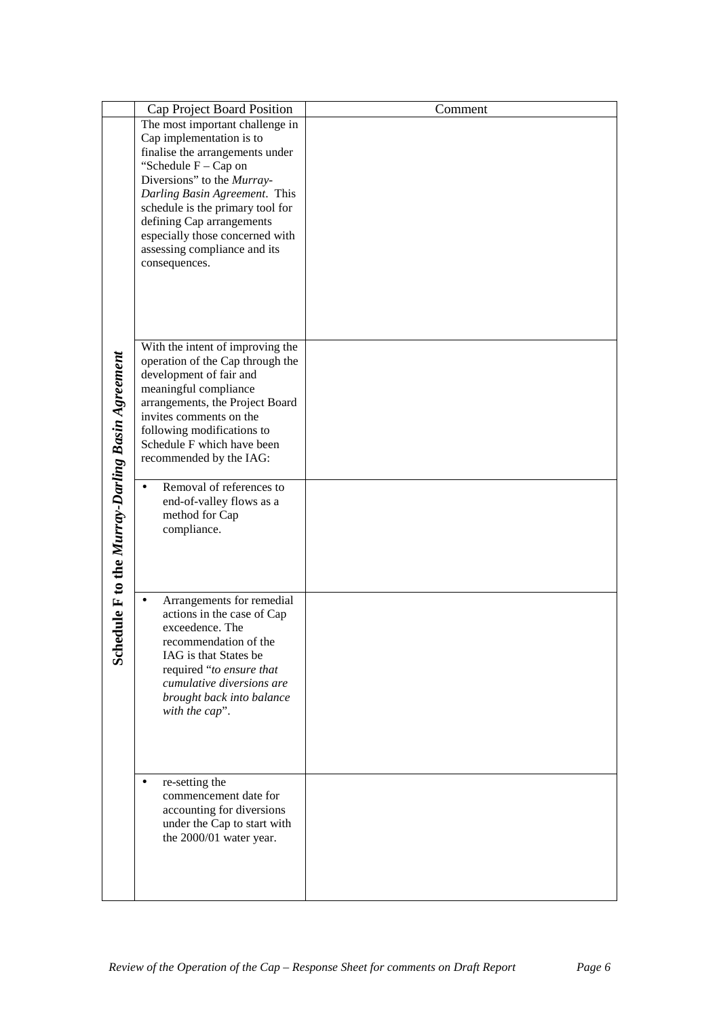|                                              | Cap Project Board Position                                           | Comment |
|----------------------------------------------|----------------------------------------------------------------------|---------|
|                                              | The most important challenge in                                      |         |
|                                              | Cap implementation is to                                             |         |
|                                              | finalise the arrangements under<br>"Schedule F - Cap on              |         |
|                                              | Diversions" to the Murray-                                           |         |
|                                              | Darling Basin Agreement. This                                        |         |
|                                              | schedule is the primary tool for                                     |         |
|                                              | defining Cap arrangements                                            |         |
|                                              | especially those concerned with                                      |         |
|                                              | assessing compliance and its<br>consequences.                        |         |
|                                              |                                                                      |         |
|                                              |                                                                      |         |
|                                              |                                                                      |         |
|                                              |                                                                      |         |
|                                              |                                                                      |         |
|                                              | With the intent of improving the<br>operation of the Cap through the |         |
|                                              | development of fair and                                              |         |
|                                              | meaningful compliance                                                |         |
|                                              | arrangements, the Project Board                                      |         |
|                                              | invites comments on the                                              |         |
|                                              | following modifications to<br>Schedule F which have been             |         |
|                                              | recommended by the IAG:                                              |         |
|                                              |                                                                      |         |
|                                              | Removal of references to                                             |         |
|                                              | end-of-valley flows as a                                             |         |
|                                              | method for Cap                                                       |         |
|                                              | compliance.                                                          |         |
|                                              |                                                                      |         |
|                                              |                                                                      |         |
| dule F to the Murray-Darling Basin Agreement | Arrangements for remedial                                            |         |
|                                              | actions in the case of Cap                                           |         |
|                                              | exceedence. The                                                      |         |
|                                              | recommendation of the                                                |         |
| <b>Sche</b>                                  | IAG is that States be                                                |         |
|                                              | required "to ensure that                                             |         |
|                                              | cumulative diversions are<br>brought back into balance               |         |
|                                              | with the cap".                                                       |         |
|                                              |                                                                      |         |
|                                              |                                                                      |         |
|                                              |                                                                      |         |
|                                              |                                                                      |         |
|                                              | re-setting the<br>commencement date for                              |         |
|                                              | accounting for diversions                                            |         |
|                                              | under the Cap to start with                                          |         |
|                                              | the 2000/01 water year.                                              |         |
|                                              |                                                                      |         |
|                                              |                                                                      |         |
|                                              |                                                                      |         |